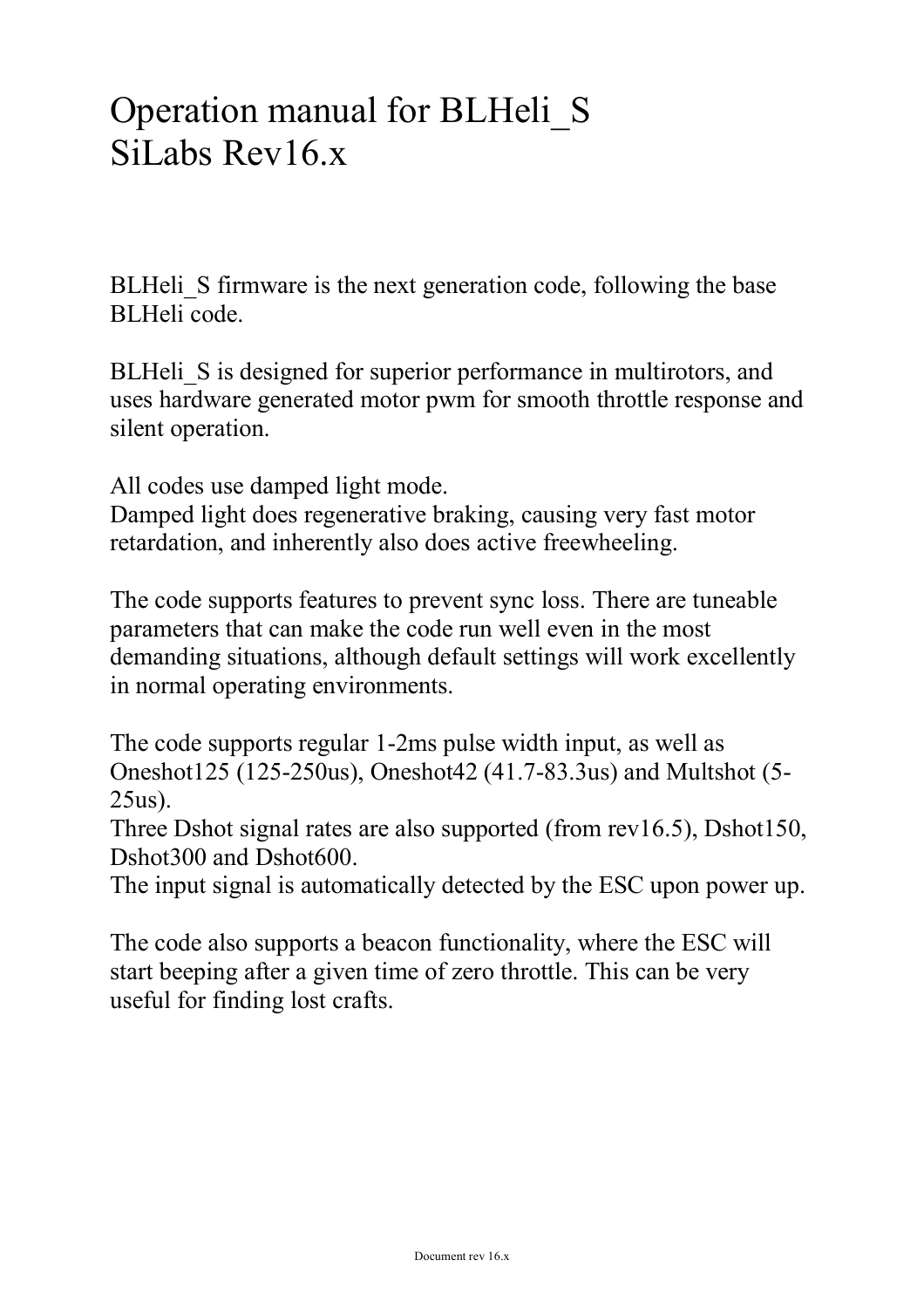# Operation manual for BLHeli\_S SiLabs Rev16 x

BLHeli S firmware is the next generation code, following the base BLHeli code.

BLHeli S is designed for superior performance in multirotors, and uses hardware generated motor pwm for smooth throttle response and silent operation.

All codes use damped light mode.

Damped light does regenerative braking, causing very fast motor retardation, and inherently also does active freewheeling.

The code supports features to prevent sync loss. There are tuneable parameters that can make the code run well even in the most demanding situations, although default settings will work excellently in normal operating environments.

The code supports regular 1-2ms pulse width input, as well as Oneshot125 (125-250us), Oneshot42 (41.7-83.3us) and Multshot (5- 25us).

Three Dshot signal rates are also supported (from rev16.5), Dshot150, Dshot300 and Dshot600.

The input signal is automatically detected by the ESC upon power up.

The code also supports a beacon functionality, where the ESC will start beeping after a given time of zero throttle. This can be very useful for finding lost crafts.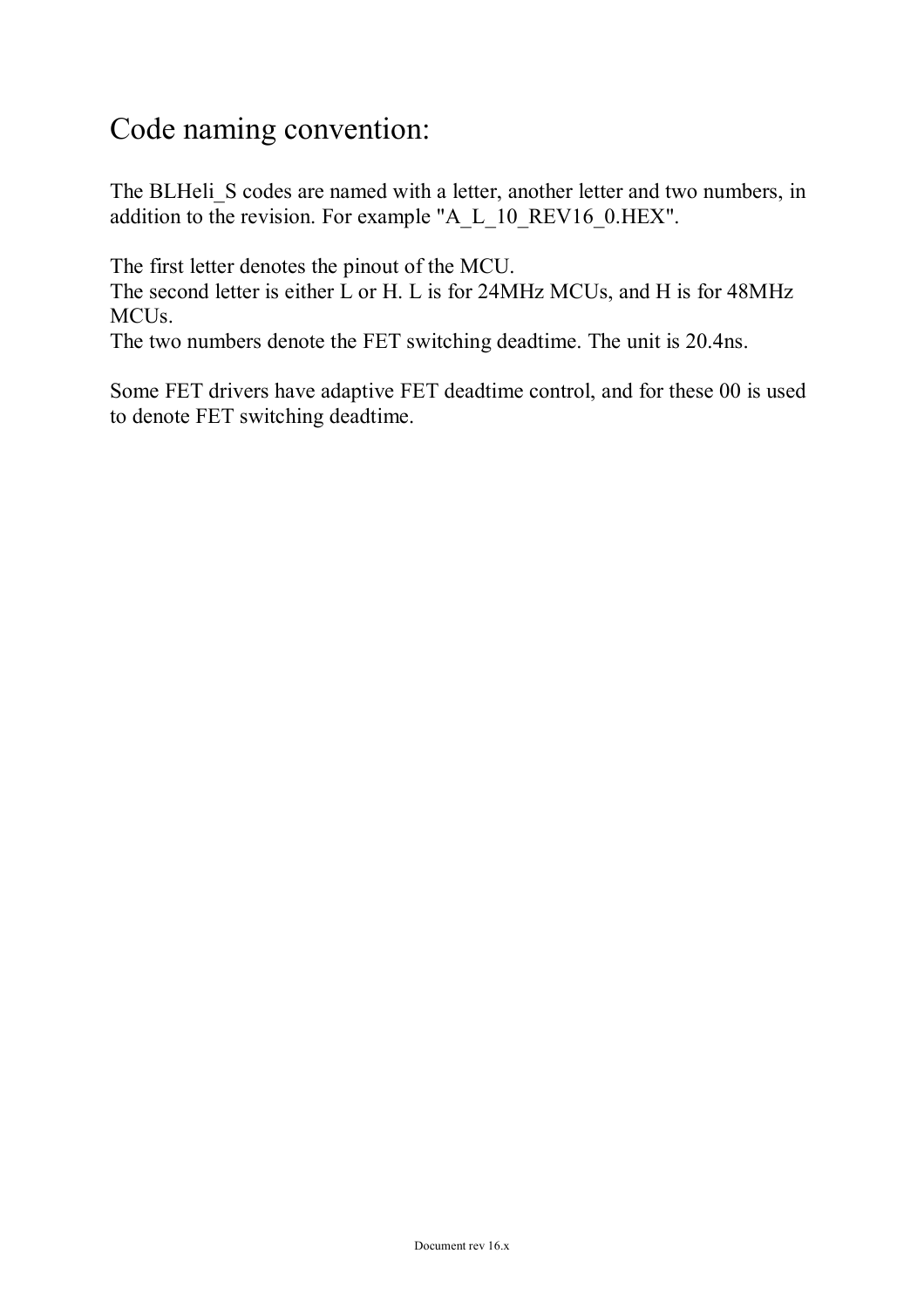# Code naming convention:

The BLHeli S codes are named with a letter, another letter and two numbers, in addition to the revision. For example "A\_L\_10\_REV16\_0.HEX".

The first letter denotes the pinout of the MCU.

The second letter is either L or H. L is for 24MHz MCUs, and H is for 48MHz MCUs.

The two numbers denote the FET switching deadtime. The unit is 20.4ns.

Some FET drivers have adaptive FET deadtime control, and for these 00 is used to denote FET switching deadtime.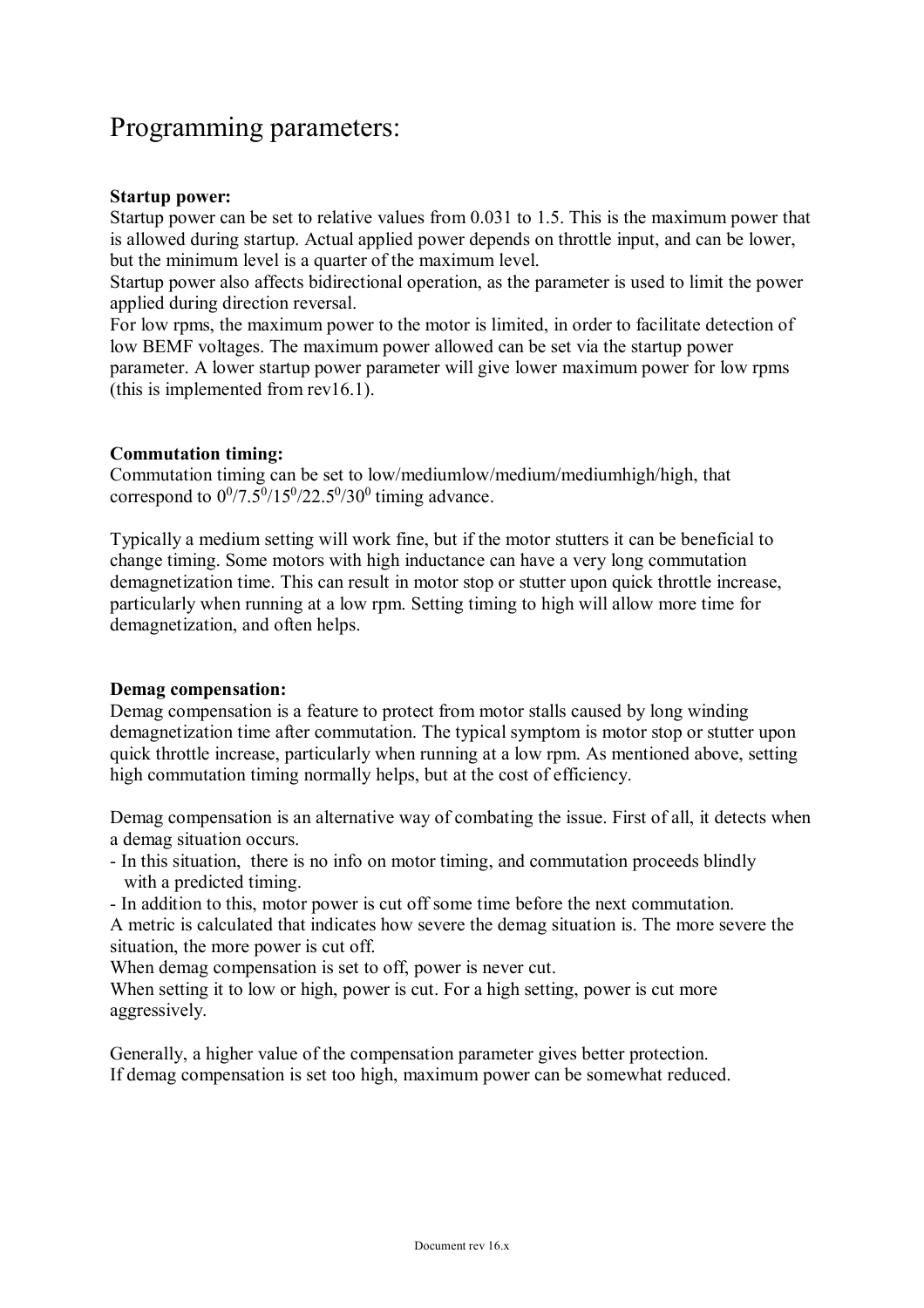### Programming parameters:

#### **Startup power:**

Startup power can be set to relative values from 0.031 to 1.5. This is the maximum power that is allowed during startup. Actual applied power depends on throttle input, and can be lower, but the minimum level is a quarter of the maximum level.

Startup power also affects bidirectional operation, as the parameter is used to limit the power applied during direction reversal.

For low rpms, the maximum power to the motor is limited, in order to facilitate detection of low BEMF voltages. The maximum power allowed can be set via the startup power parameter. A lower startup power parameter will give lower maximum power for low rpms (this is implemented from rev16.1).

#### **Commutation timing:**

Commutation timing can be set to low/mediumlow/medium/mediumhigh/high, that correspond to  $0^0/7.5^0/15^0/22.5^0/30^0$  timing advance.

Typically a medium setting will work fine, but if the motor stutters it can be beneficial to change timing. Some motors with high inductance can have a very long commutation demagnetization time. This can result in motor stop or stutter upon quick throttle increase, particularly when running at a low rpm. Setting timing to high will allow more time for demagnetization, and often helps.

#### **Demag compensation:**

Demag compensation is a feature to protect from motor stalls caused by long winding demagnetization time after commutation. The typical symptom is motor stop or stutter upon quick throttle increase, particularly when running at a low rpm. As mentioned above, setting high commutation timing normally helps, but at the cost of efficiency.

Demag compensation is an alternative way of combating the issue. First of all, it detects when a demag situation occurs.

- In this situation, there is no info on motor timing, and commutation proceeds blindly with a predicted timing.
- In addition to this, motor power is cut off some time before the next commutation.

A metric is calculated that indicates how severe the demag situation is. The more severe the situation, the more power is cut off.

When demag compensation is set to off, power is never cut.

When setting it to low or high, power is cut. For a high setting, power is cut more aggressively.

Generally, a higher value of the compensation parameter gives better protection. If demag compensation is set too high, maximum power can be somewhat reduced.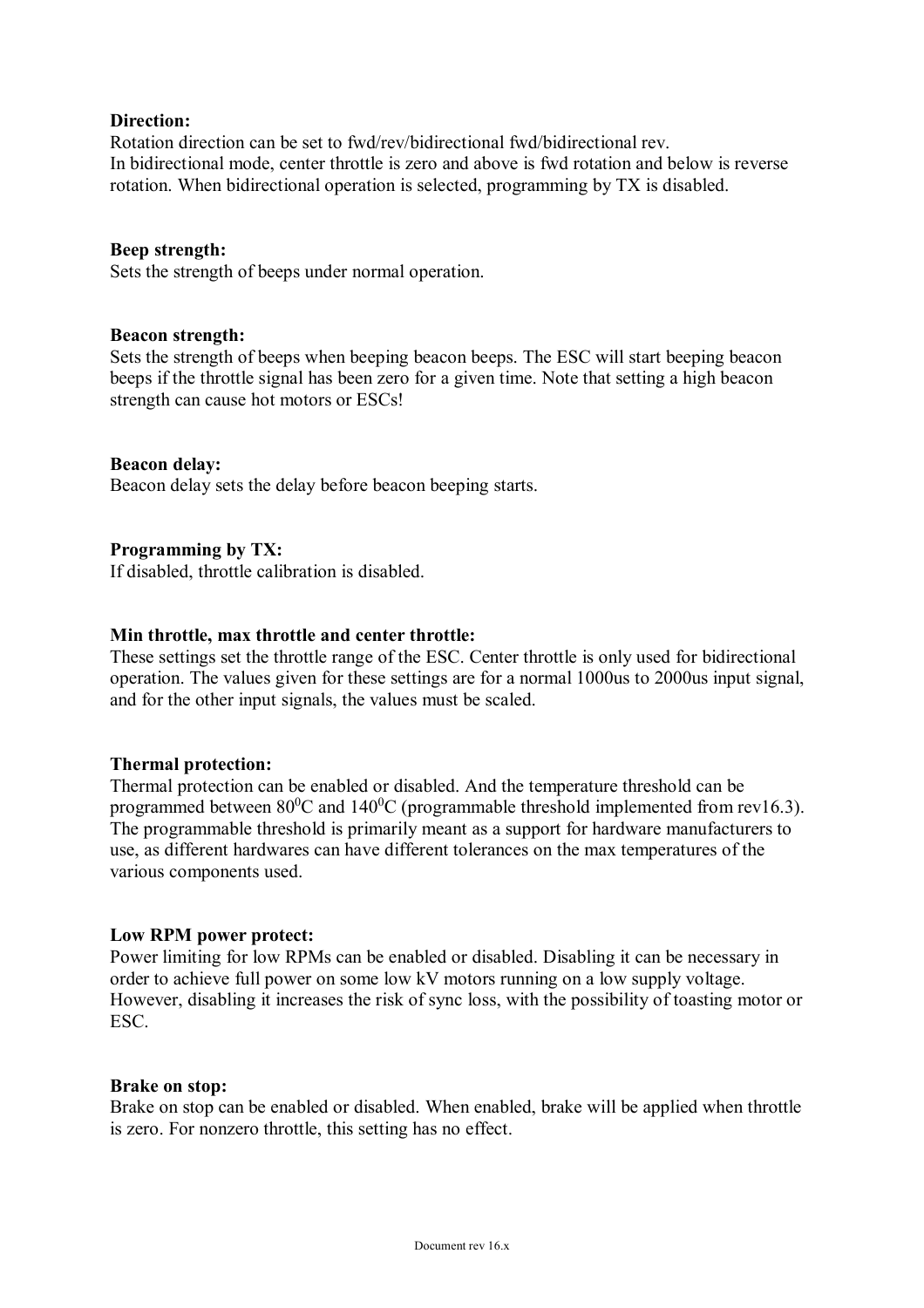#### **Direction:**

Rotation direction can be set to fwd/rev/bidirectional fwd/bidirectional rev. In bidirectional mode, center throttle is zero and above is fwd rotation and below is reverse rotation. When bidirectional operation is selected, programming by TX is disabled.

#### **Beep strength:**

Sets the strength of beeps under normal operation.

#### **Beacon strength:**

Sets the strength of beeps when beeping beacon beeps. The ESC will start beeping beacon beeps if the throttle signal has been zero for a given time. Note that setting a high beacon strength can cause hot motors or ESCs!

#### **Beacon delay:**

Beacon delay sets the delay before beacon beeping starts.

#### **Programming by TX:**

If disabled, throttle calibration is disabled.

#### **Min throttle, max throttle and center throttle:**

These settings set the throttle range of the ESC. Center throttle is only used for bidirectional operation. The values given for these settings are for a normal 1000us to 2000us input signal, and for the other input signals, the values must be scaled.

#### **Thermal protection:**

Thermal protection can be enabled or disabled. And the temperature threshold can be programmed between  $80^0C$  and  $140^0C$  (programmable threshold implemented from rev16.3). The programmable threshold is primarily meant as a support for hardware manufacturers to use, as different hardwares can have different tolerances on the max temperatures of the various components used.

#### **Low RPM power protect:**

Power limiting for low RPMs can be enabled or disabled. Disabling it can be necessary in order to achieve full power on some low kV motors running on a low supply voltage. However, disabling it increases the risk of sync loss, with the possibility of toasting motor or ESC.

#### **Brake on stop:**

Brake on stop can be enabled or disabled. When enabled, brake will be applied when throttle is zero. For nonzero throttle, this setting has no effect.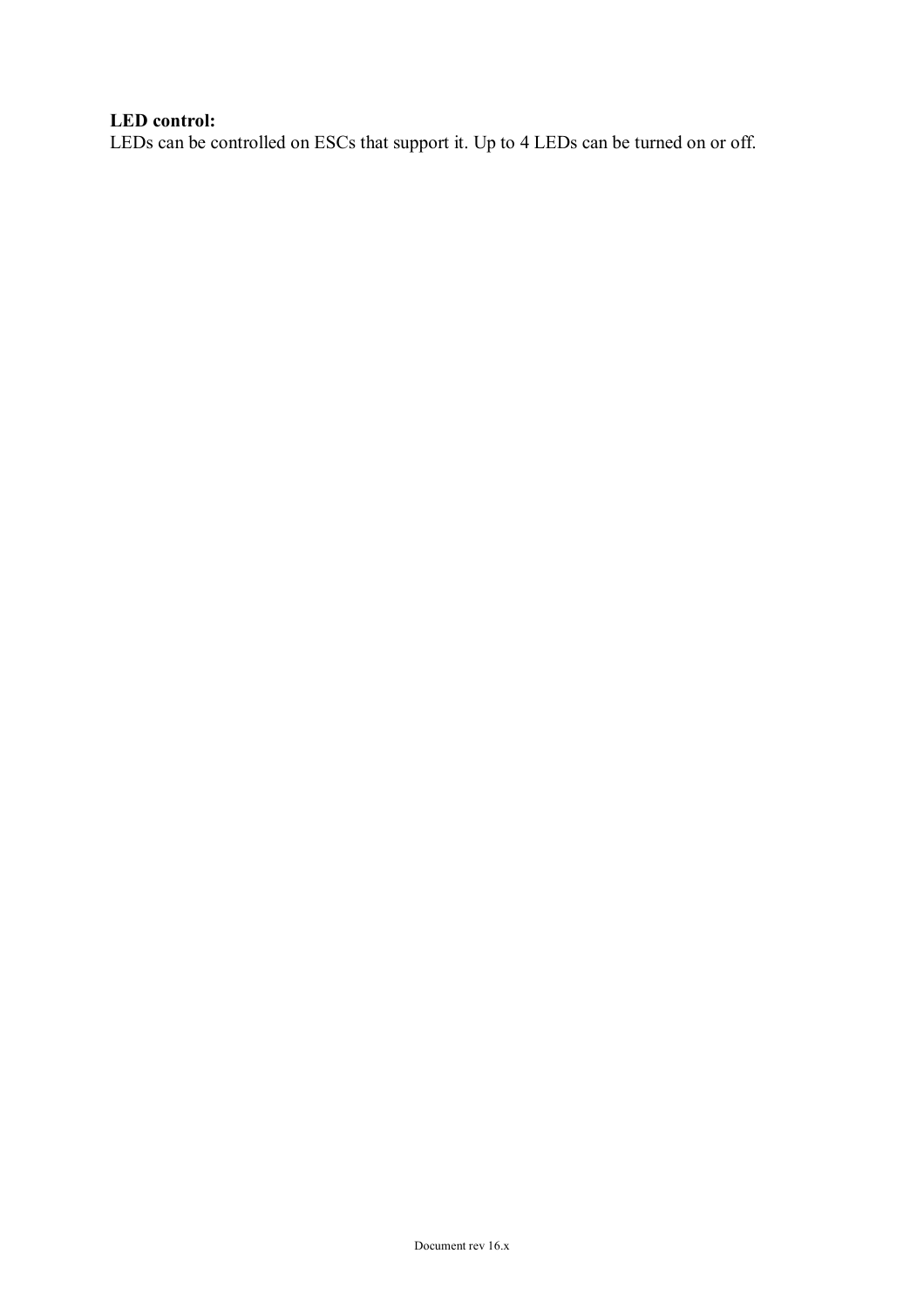#### **LED control:**

LEDs can be controlled on ESCs that support it. Up to 4 LEDs can be turned on or off.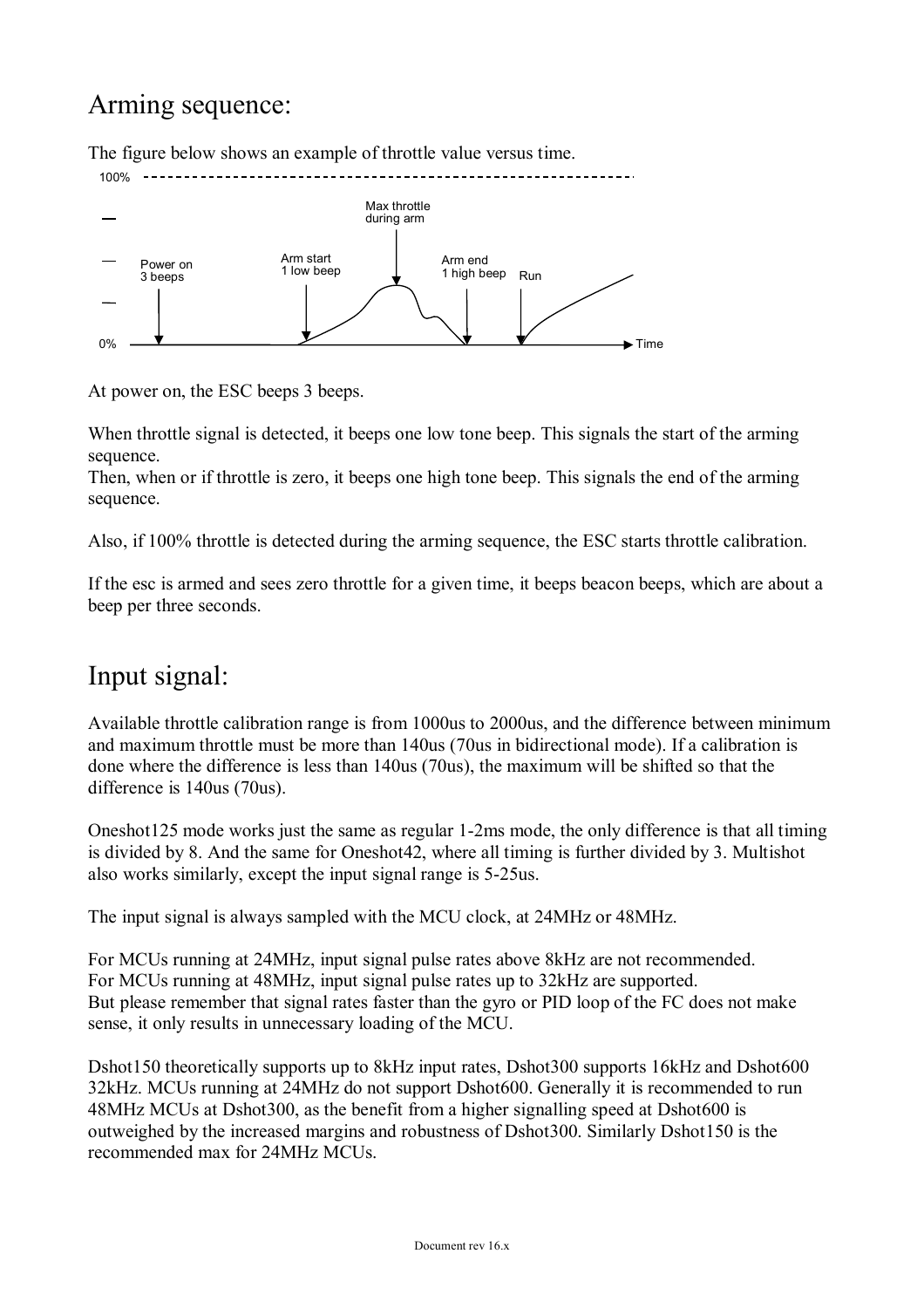### Arming sequence:

The figure below shows an example of throttle value versus time.



At power on, the ESC beeps 3 beeps.

When throttle signal is detected, it beeps one low tone beep. This signals the start of the arming sequence.

Then, when or if throttle is zero, it beeps one high tone beep. This signals the end of the arming sequence.

Also, if 100% throttle is detected during the arming sequence, the ESC starts throttle calibration.

If the esc is armed and sees zero throttle for a given time, it beeps beacon beeps, which are about a beep per three seconds.

### Input signal:

Available throttle calibration range is from 1000us to 2000us, and the difference between minimum and maximum throttle must be more than 140us (70us in bidirectional mode). If a calibration is done where the difference is less than 140us (70us), the maximum will be shifted so that the difference is 140us (70us).

Oneshot125 mode works just the same as regular 1-2ms mode, the only difference is that all timing is divided by 8. And the same for Oneshot42, where all timing is further divided by 3. Multishot also works similarly, except the input signal range is 5-25us.

The input signal is always sampled with the MCU clock, at 24MHz or 48MHz.

For MCUs running at 24MHz, input signal pulse rates above 8kHz are not recommended. For MCUs running at 48MHz, input signal pulse rates up to 32kHz are supported. But please remember that signal rates faster than the gyro or PID loop of the FC does not make sense, it only results in unnecessary loading of the MCU.

Dshot150 theoretically supports up to 8kHz input rates, Dshot300 supports 16kHz and Dshot600 32kHz. MCUs running at 24MHz do not support Dshot600. Generally it is recommended to run 48MHz MCUs at Dshot300, as the benefit from a higher signalling speed at Dshot600 is outweighed by the increased margins and robustness of Dshot300. Similarly Dshot150 is the recommended max for 24MHz MCUs.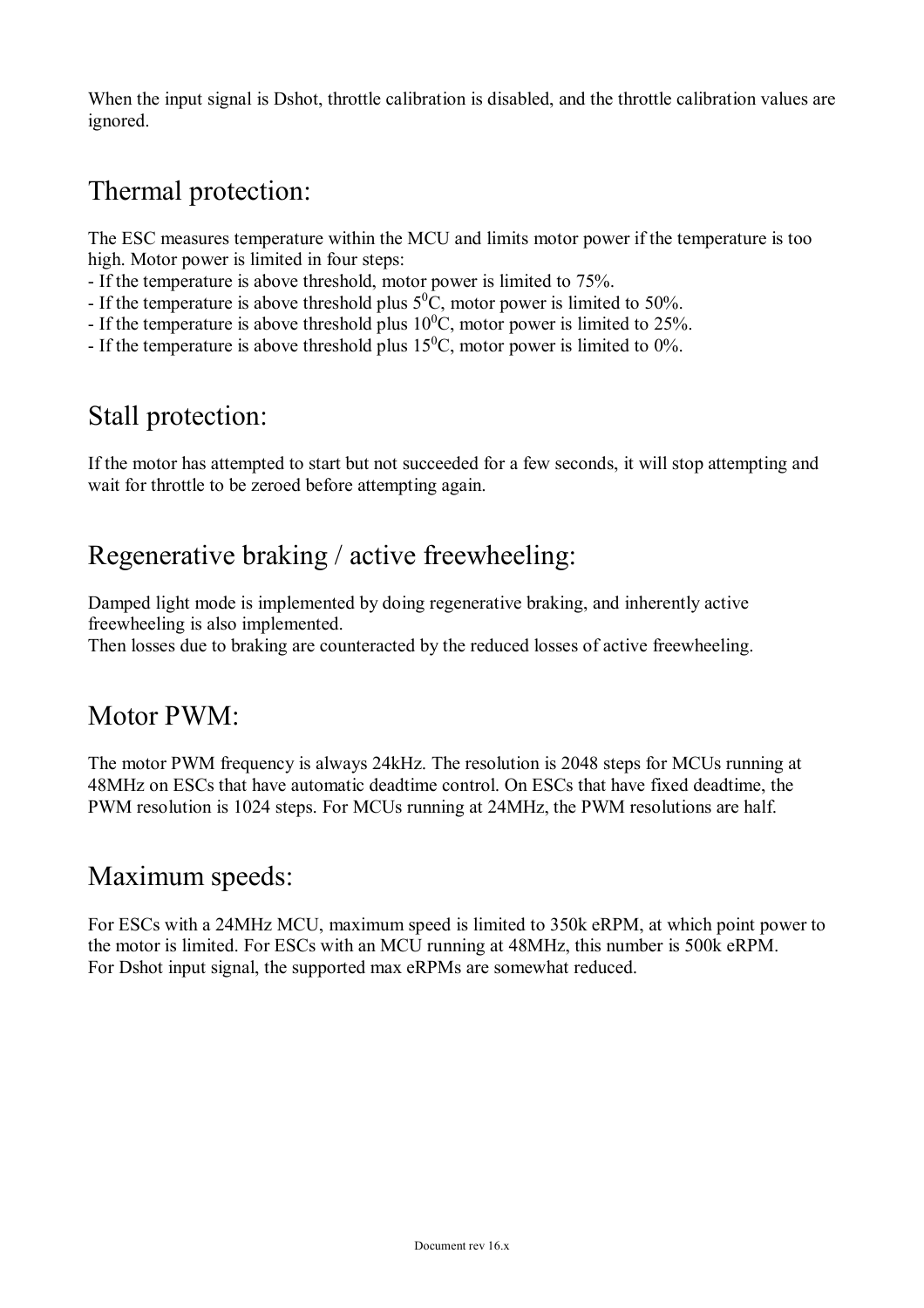When the input signal is Dshot, throttle calibration is disabled, and the throttle calibration values are ignored.

### Thermal protection:

The ESC measures temperature within the MCU and limits motor power if the temperature is too high. Motor power is limited in four steps:

- If the temperature is above threshold, motor power is limited to 75%.

- If the temperature is above threshold plus  $5^0C$ , motor power is limited to 50%.

- If the temperature is above threshold plus  $10^{0}$ C, motor power is limited to 25%.
- If the temperature is above threshold plus  $15^{\circ}$ C, motor power is limited to 0%.

### Stall protection:

If the motor has attempted to start but not succeeded for a few seconds, it will stop attempting and wait for throttle to be zeroed before attempting again.

### Regenerative braking / active freewheeling:

Damped light mode is implemented by doing regenerative braking, and inherently active freewheeling is also implemented.

Then losses due to braking are counteracted by the reduced losses of active freewheeling.

### Motor PWM:

The motor PWM frequency is always 24kHz. The resolution is 2048 steps for MCUs running at 48MHz on ESCs that have automatic deadtime control. On ESCs that have fixed deadtime, the PWM resolution is 1024 steps. For MCUs running at 24MHz, the PWM resolutions are half.

### Maximum speeds:

For ESCs with a 24MHz MCU, maximum speed is limited to 350k eRPM, at which point power to the motor is limited. For ESCs with an MCU running at 48MHz, this number is 500k eRPM. For Dshot input signal, the supported max eRPMs are somewhat reduced.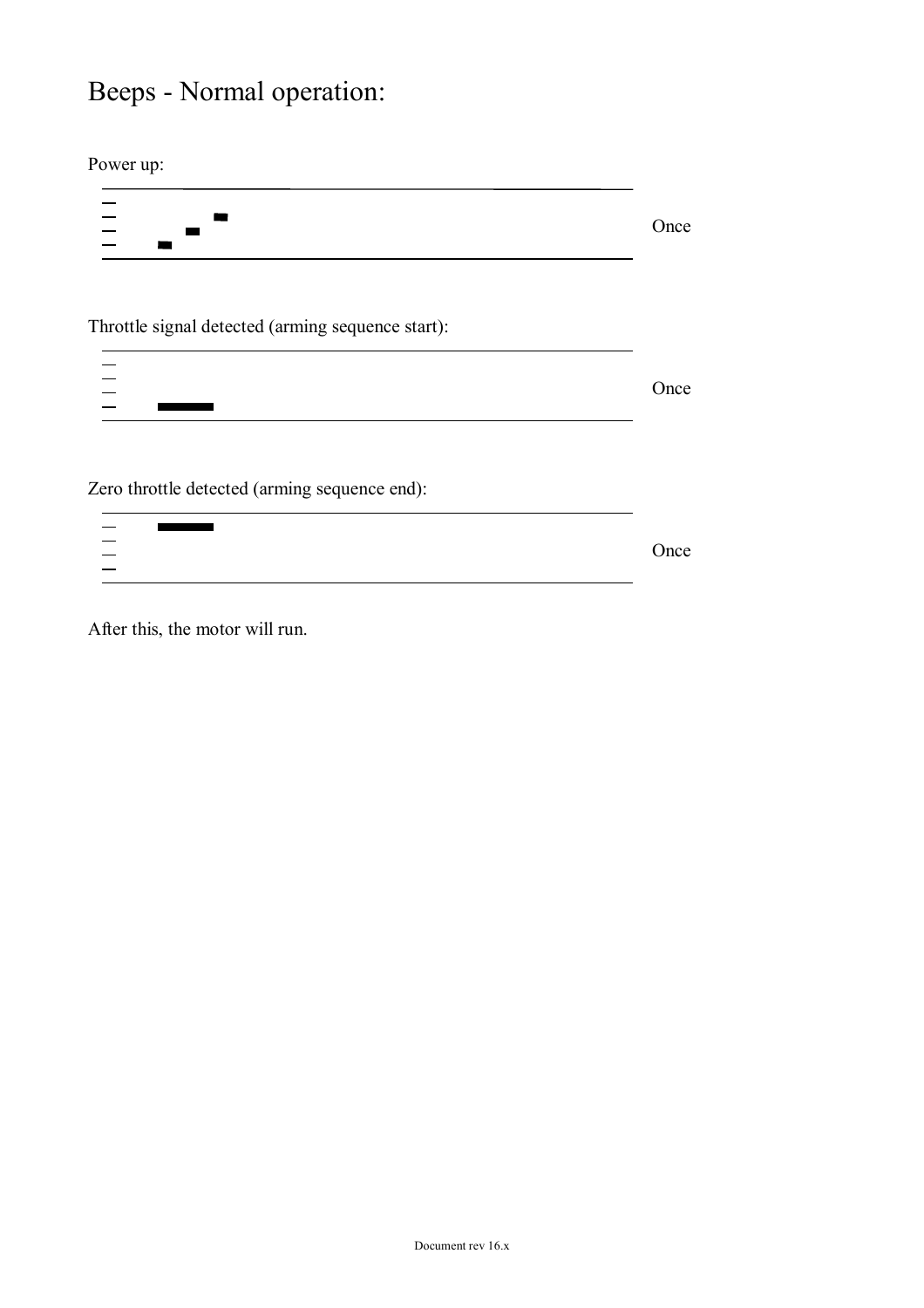## Beeps - Normal operation:

Power up:

 $\frac{1}{1}$  Once m Throttle signal detected (arming sequence start):  $\frac{-}{-}$  Once Zero throttle detected (arming sequence end):  $\frac{-}{-}$ п Once

After this, the motor will run.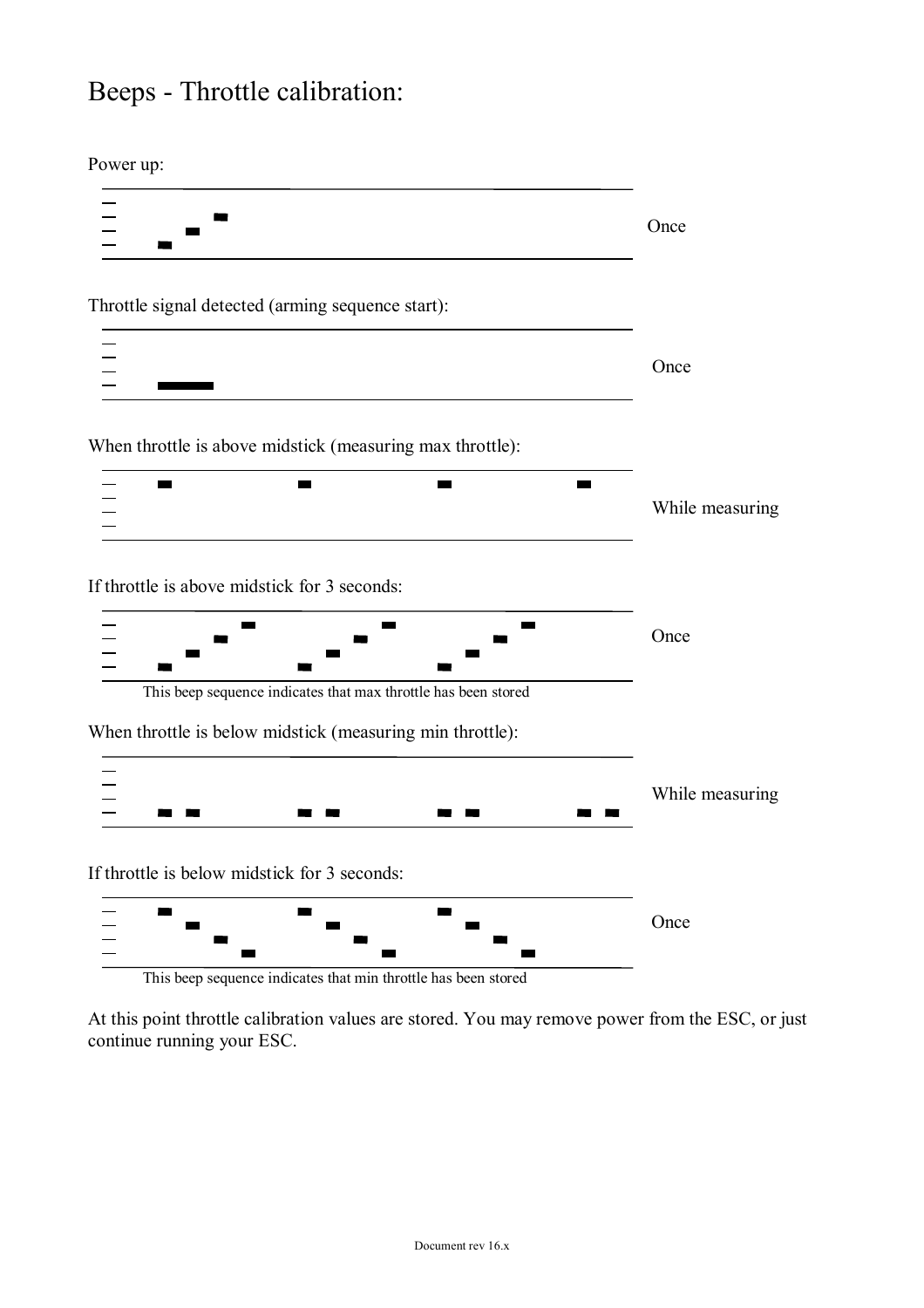### Beeps - Throttle calibration:

Power up:



This beep sequence indicates that min throttle has been stored

At this point throttle calibration values are stored. You may remove power from the ESC, or just continue running your ESC.